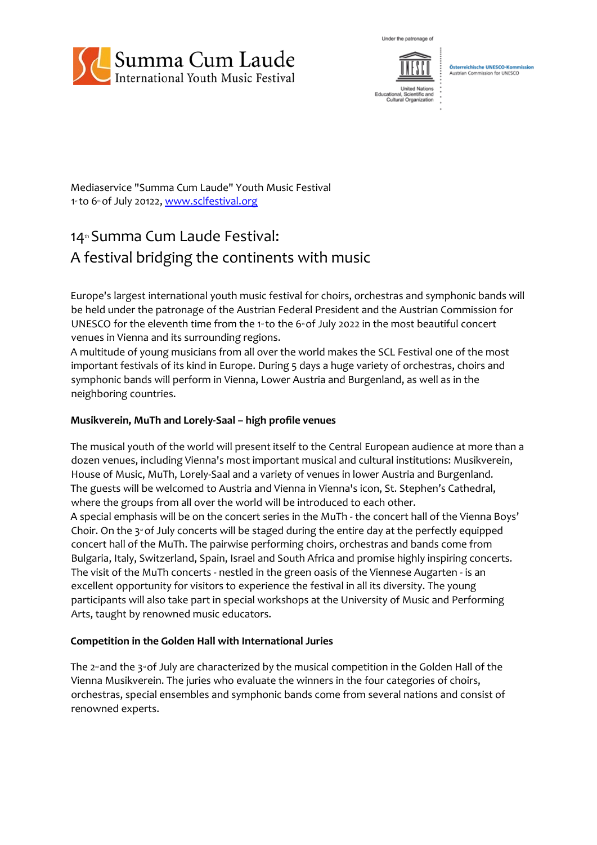

Under the natronage of



Osterreichische UNESCO-Ko<br>Austrian Commission for UNES n for UNESCO

Mediaservice "Summa Cum Laude" Youth Music Festival 1sto 6th of July 20122, [www.sclfestival.org](http://www.sclfestival.org/)

# 14<sup>th</sup> Summa Cum Laude Festival: A festival bridging the continents with music

Europe's largest international youth music festival for choirs, orchestras and symphonic bands will be held under the patronage of the Austrian Federal President and the Austrian Commission for UNESCO for the eleventh time from the 1<sup> $st$ </sup> to the 6 $\textdegree$  of July 2022 in the most beautiful concert venues in Vienna and its surrounding regions.

A multitude of young musicians from all over the world makes the SCL Festival one of the most important festivals of its kind in Europe. During 5 days a huge variety of orchestras, choirs and symphonic bands will perform in Vienna, Lower Austria and Burgenland, as well as in the neighboring countries.

## **Musikverein, MuTh and Lorely-Saal – high profle venues**

The musical youth of the world will present itself to the Central European audience at more than a dozen venues, including Vienna's most important musical and cultural institutions: Musikverein, House of Music, MuTh, Lorely-Saal and a variety of venues in lower Austria and Burgenland. The guests will be welcomed to Austria and Vienna in Vienna's icon, St. Stephen's Cathedral, where the groups from all over the world will be introduced to each other. A special emphasis will be on the concert series in the MuTh - the concert hall of the Vienna Boys' Choir. On the  $3^{\omega}$  of July concerts will be staged during the entire day at the perfectly equipped concert hall of the MuTh. The pairwise performing choirs, orchestras and bands come from Bulgaria, Italy, Switzerland, Spain, Israel and South Africa and promise highly inspiring concerts. The visit of the MuTh concerts - nestled in the green oasis of the Viennese Augarten - is an excellent opportunity for visitors to experience the festival in all its diversity. The young participants will also take part in special workshops at the University of Music and Performing Arts, taught by renowned music educators.

### **Competition in the Golden Hall with International Juries**

The  $2<sup>nd</sup>$  and the  $3<sup>nd</sup>$  of July are characterized by the musical competition in the Golden Hall of the Vienna Musikverein. The juries who evaluate the winners in the four categories of choirs, orchestras, special ensembles and symphonic bands come from several nations and consist of renowned experts.